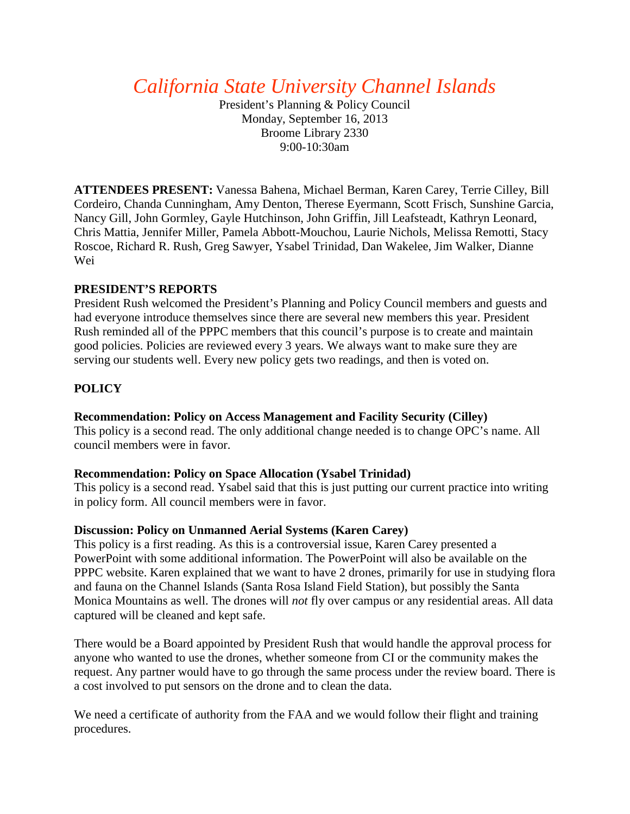# *California State University Channel Islands*

President's Planning & Policy Council Monday, September 16, 2013 Broome Library 2330 9:00-10:30am

**ATTENDEES PRESENT:** Vanessa Bahena, Michael Berman, Karen Carey, Terrie Cilley, Bill Cordeiro, Chanda Cunningham, Amy Denton, Therese Eyermann, Scott Frisch, Sunshine Garcia, Nancy Gill, John Gormley, Gayle Hutchinson, John Griffin, Jill Leafsteadt, Kathryn Leonard, Chris Mattia, Jennifer Miller, Pamela Abbott-Mouchou, Laurie Nichols, Melissa Remotti, Stacy Roscoe, Richard R. Rush, Greg Sawyer, Ysabel Trinidad, Dan Wakelee, Jim Walker, Dianne Wei

# **PRESIDENT'S REPORTS**

President Rush welcomed the President's Planning and Policy Council members and guests and had everyone introduce themselves since there are several new members this year. President Rush reminded all of the PPPC members that this council's purpose is to create and maintain good policies. Policies are reviewed every 3 years. We always want to make sure they are serving our students well. Every new policy gets two readings, and then is voted on.

# **POLICY**

### **Recommendation: Policy on Access Management and Facility Security (Cilley)**

This policy is a second read. The only additional change needed is to change OPC's name. All council members were in favor.

### **Recommendation: Policy on Space Allocation (Ysabel Trinidad)**

This policy is a second read. Ysabel said that this is just putting our current practice into writing in policy form. All council members were in favor.

### **Discussion: Policy on Unmanned Aerial Systems (Karen Carey)**

This policy is a first reading. As this is a controversial issue, Karen Carey presented a PowerPoint with some additional information. The PowerPoint will also be available on the PPPC website. Karen explained that we want to have 2 drones, primarily for use in studying flora and fauna on the Channel Islands (Santa Rosa Island Field Station), but possibly the Santa Monica Mountains as well. The drones will *not* fly over campus or any residential areas. All data captured will be cleaned and kept safe.

There would be a Board appointed by President Rush that would handle the approval process for anyone who wanted to use the drones, whether someone from CI or the community makes the request. Any partner would have to go through the same process under the review board. There is a cost involved to put sensors on the drone and to clean the data.

We need a certificate of authority from the FAA and we would follow their flight and training procedures.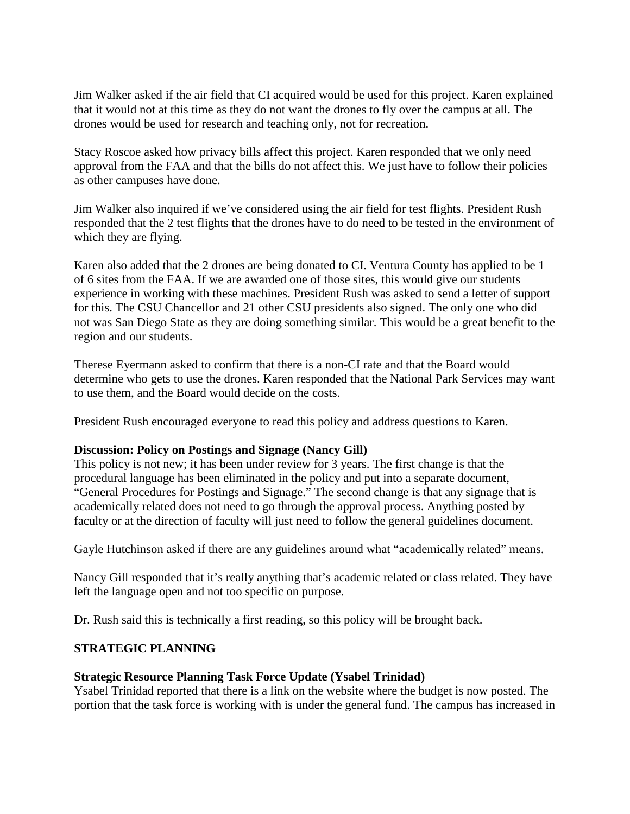Jim Walker asked if the air field that CI acquired would be used for this project. Karen explained that it would not at this time as they do not want the drones to fly over the campus at all. The drones would be used for research and teaching only, not for recreation.

Stacy Roscoe asked how privacy bills affect this project. Karen responded that we only need approval from the FAA and that the bills do not affect this. We just have to follow their policies as other campuses have done.

Jim Walker also inquired if we've considered using the air field for test flights. President Rush responded that the 2 test flights that the drones have to do need to be tested in the environment of which they are flying.

Karen also added that the 2 drones are being donated to CI. Ventura County has applied to be 1 of 6 sites from the FAA. If we are awarded one of those sites, this would give our students experience in working with these machines. President Rush was asked to send a letter of support for this. The CSU Chancellor and 21 other CSU presidents also signed. The only one who did not was San Diego State as they are doing something similar. This would be a great benefit to the region and our students.

Therese Eyermann asked to confirm that there is a non-CI rate and that the Board would determine who gets to use the drones. Karen responded that the National Park Services may want to use them, and the Board would decide on the costs.

President Rush encouraged everyone to read this policy and address questions to Karen.

# **Discussion: Policy on Postings and Signage (Nancy Gill)**

This policy is not new; it has been under review for 3 years. The first change is that the procedural language has been eliminated in the policy and put into a separate document, "General Procedures for Postings and Signage." The second change is that any signage that is academically related does not need to go through the approval process. Anything posted by faculty or at the direction of faculty will just need to follow the general guidelines document.

Gayle Hutchinson asked if there are any guidelines around what "academically related" means.

Nancy Gill responded that it's really anything that's academic related or class related. They have left the language open and not too specific on purpose.

Dr. Rush said this is technically a first reading, so this policy will be brought back.

# **STRATEGIC PLANNING**

### **Strategic Resource Planning Task Force Update (Ysabel Trinidad)**

Ysabel Trinidad reported that there is a link on the website where the budget is now posted. The portion that the task force is working with is under the general fund. The campus has increased in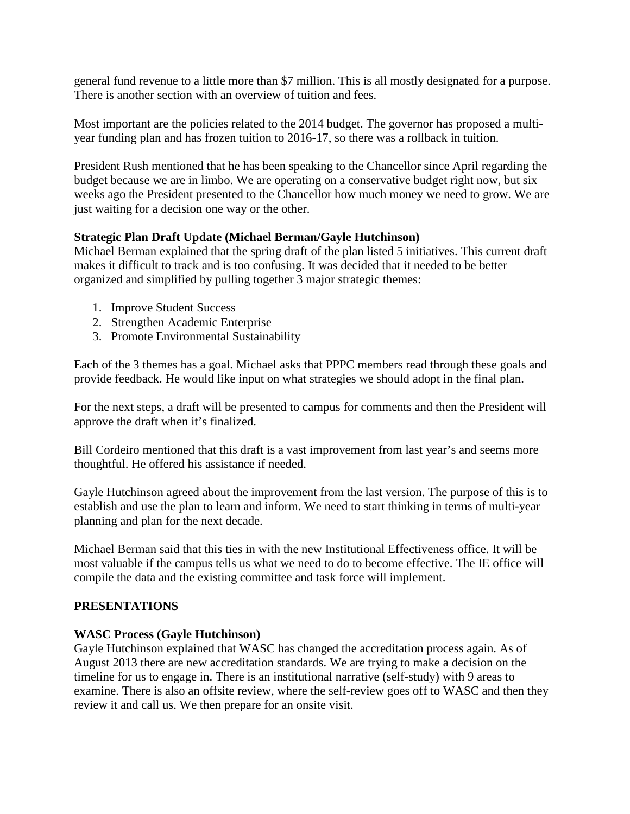general fund revenue to a little more than \$7 million. This is all mostly designated for a purpose. There is another section with an overview of tuition and fees.

Most important are the policies related to the 2014 budget. The governor has proposed a multiyear funding plan and has frozen tuition to 2016-17, so there was a rollback in tuition.

President Rush mentioned that he has been speaking to the Chancellor since April regarding the budget because we are in limbo. We are operating on a conservative budget right now, but six weeks ago the President presented to the Chancellor how much money we need to grow. We are just waiting for a decision one way or the other.

# **Strategic Plan Draft Update (Michael Berman/Gayle Hutchinson)**

Michael Berman explained that the spring draft of the plan listed 5 initiatives. This current draft makes it difficult to track and is too confusing. It was decided that it needed to be better organized and simplified by pulling together 3 major strategic themes:

- 1. Improve Student Success
- 2. Strengthen Academic Enterprise
- 3. Promote Environmental Sustainability

Each of the 3 themes has a goal. Michael asks that PPPC members read through these goals and provide feedback. He would like input on what strategies we should adopt in the final plan.

For the next steps, a draft will be presented to campus for comments and then the President will approve the draft when it's finalized.

Bill Cordeiro mentioned that this draft is a vast improvement from last year's and seems more thoughtful. He offered his assistance if needed.

Gayle Hutchinson agreed about the improvement from the last version. The purpose of this is to establish and use the plan to learn and inform. We need to start thinking in terms of multi-year planning and plan for the next decade.

Michael Berman said that this ties in with the new Institutional Effectiveness office. It will be most valuable if the campus tells us what we need to do to become effective. The IE office will compile the data and the existing committee and task force will implement.

# **PRESENTATIONS**

# **WASC Process (Gayle Hutchinson)**

Gayle Hutchinson explained that WASC has changed the accreditation process again. As of August 2013 there are new accreditation standards. We are trying to make a decision on the timeline for us to engage in. There is an institutional narrative (self-study) with 9 areas to examine. There is also an offsite review, where the self-review goes off to WASC and then they review it and call us. We then prepare for an onsite visit.